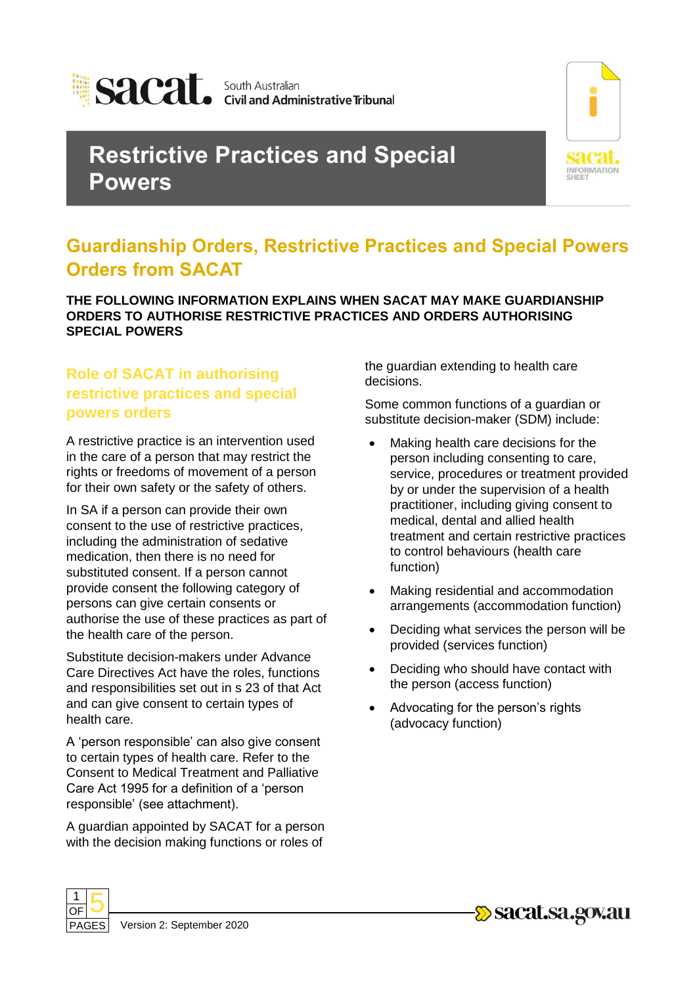

# **Restrictive Practices and Special Powers**



# **Guardianship Orders, Restrictive Practices and Special Powers Orders from SACAT**

**THE FOLLOWING INFORMATION EXPLAINS WHEN SACAT MAY MAKE GUARDIANSHIP ORDERS TO AUTHORISE RESTRICTIVE PRACTICES AND ORDERS AUTHORISING SPECIAL POWERS**

## **Role of SACAT in authorising restrictive practices and special powers orders**

A restrictive practice is an intervention used in the care of a person that may restrict the rights or freedoms of movement of a person for their own safety or the safety of others.

In SA if a person can provide their own consent to the use of restrictive practices, including the administration of sedative medication, then there is no need for substituted consent. If a person cannot provide consent the following category of persons can give certain consents or authorise the use of these practices as part of the health care of the person.

Substitute decision-makers under Advance Care Directives Act have the roles, functions and responsibilities set out in s 23 of that Act and can give consent to certain types of health care.

A 'person responsible' can also give consent to certain types of health care. Refer to the Consent to Medical Treatment and Palliative Care Act 1995 for a definition of a 'person responsible' (see attachment).

A guardian appointed by SACAT for a person with the decision making functions or roles of

the guardian extending to health care decisions.

Some common functions of a guardian or substitute decision-maker (SDM) include:

- Making health care decisions for the person including consenting to care, service, procedures or treatment provided by or under the supervision of a health practitioner, including giving consent to medical, dental and allied health treatment and certain restrictive practices to control behaviours (health care function)
- Making residential and accommodation arrangements (accommodation function)
- Deciding what services the person will be provided (services function)
- Deciding who should have contact with the person (access function)
- Advocating for the person's rights (advocacy function)



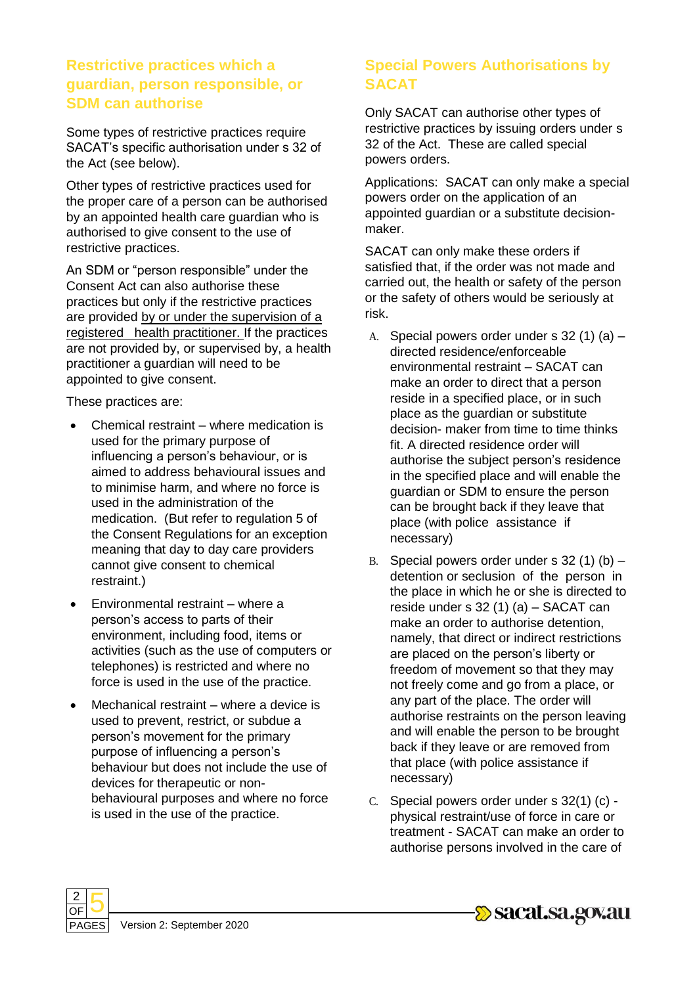#### **Restrictive practices which a guardian, person responsible, or SDM can authorise**

Some types of restrictive practices require SACAT's specific authorisation under s 32 of the Act (see below).

Other types of restrictive practices used for the proper care of a person can be authorised by an appointed health care guardian who is authorised to give consent to the use of restrictive practices.

An SDM or "person responsible" under the Consent Act can also authorise these practices but only if the restrictive practices are provided by or under the supervision of a registered health practitioner. If the practices are not provided by, or supervised by, a health practitioner a guardian will need to be appointed to give consent.

These practices are:

- Chemical restraint where medication is used for the primary purpose of influencing a person's behaviour, or is aimed to address behavioural issues and to minimise harm, and where no force is used in the administration of the medication. (But refer to regulation 5 of the Consent Regulations for an exception meaning that day to day care providers cannot give consent to chemical restraint.)
- Environmental restraint where a person's access to parts of their environment, including food, items or activities (such as the use of computers or telephones) is restricted and where no force is used in the use of the practice.
- Mechanical restraint where a device is used to prevent, restrict, or subdue a person's movement for the primary purpose of influencing a person's behaviour but does not include the use of devices for therapeutic or nonbehavioural purposes and where no force is used in the use of the practice.

## **Special Powers Authorisations by SACAT**

Only SACAT can authorise other types of restrictive practices by issuing orders under s 32 of the Act. These are called special powers orders.

Applications: SACAT can only make a special powers order on the application of an appointed guardian or a substitute decisionmaker.

SACAT can only make these orders if satisfied that, if the order was not made and carried out, the health or safety of the person or the safety of others would be seriously at risk.

- A. Special powers order under s 32 (1) (a) directed residence/enforceable environmental restraint – SACAT can make an order to direct that a person reside in a specified place, or in such place as the guardian or substitute decision- maker from time to time thinks fit. A directed residence order will authorise the subject person's residence in the specified place and will enable the guardian or SDM to ensure the person can be brought back if they leave that place (with police assistance if necessary)
- B. Special powers order under s  $32(1)(b)$  detention or seclusion of the person in the place in which he or she is directed to reside under s 32 (1) (a) – SACAT can make an order to authorise detention, namely, that direct or indirect restrictions are placed on the person's liberty or freedom of movement so that they may not freely come and go from a place, or any part of the place. The order will authorise restraints on the person leaving and will enable the person to be brought back if they leave or are removed from that place (with police assistance if necessary)
- C. Special powers order under s 32(1) (c) physical restraint/use of force in care or treatment - SACAT can make an order to authorise persons involved in the care of



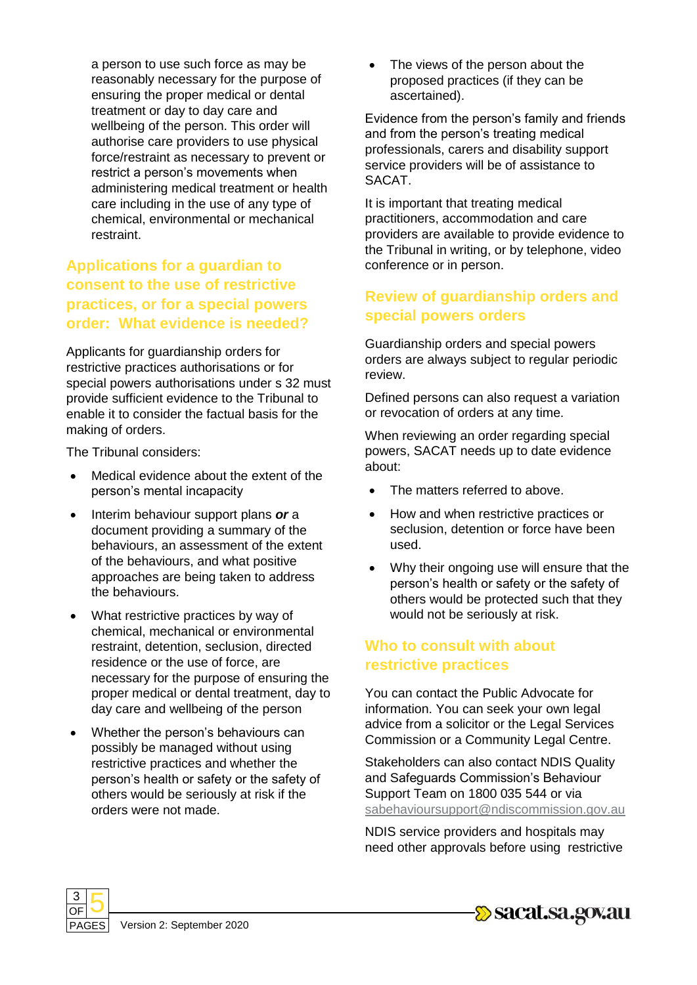a person to use such force as may be reasonably necessary for the purpose of ensuring the proper medical or dental treatment or day to day care and wellbeing of the person. This order will authorise care providers to use physical force/restraint as necessary to prevent or restrict a person's movements when administering medical treatment or health care including in the use of any type of chemical, environmental or mechanical restraint.

#### **Applications for a guardian to consent to the use of restrictive practices, or for a special powers order: What evidence is needed?**

Applicants for guardianship orders for restrictive practices authorisations or for special powers authorisations under s 32 must provide sufficient evidence to the Tribunal to enable it to consider the factual basis for the making of orders.

The Tribunal considers:

- Medical evidence about the extent of the person's mental incapacity
- Interim behaviour support plans or a document providing a summary of the behaviours, an assessment of the extent of the behaviours, and what positive approaches are being taken to address the behaviours.
- What restrictive practices by way of chemical, mechanical or environmental restraint, detention, seclusion, directed residence or the use of force, are necessary for the purpose of ensuring the proper medical or dental treatment, day to day care and wellbeing of the person
- Whether the person's behaviours can possibly be managed without using restrictive practices and whether the person's health or safety or the safety of others would be seriously at risk if the orders were not made.

• The views of the person about the proposed practices (if they can be ascertained).

Evidence from the person's family and friends and from the person's treating medical professionals, carers and disability support service providers will be of assistance to SACAT.

It is important that treating medical practitioners, accommodation and care providers are available to provide evidence to the Tribunal in writing, or by telephone, video conference or in person.

### **Review of guardianship orders and special powers orders**

Guardianship orders and special powers orders are always subject to regular periodic review.

Defined persons can also request a variation or revocation of orders at any time.

When reviewing an order regarding special powers, SACAT needs up to date evidence about:

- The matters referred to above.
- How and when restrictive practices or seclusion, detention or force have been used.
- Why their ongoing use will ensure that the person's health or safety or the safety of others would be protected such that they would not be seriously at risk.

#### **Who to consult with about restrictive practices**

You can contact the Public Advocate for information. You can seek your own legal advice from a solicitor or the Legal Services Commission or a Community Legal Centre.

Stakeholders can also contact NDIS Quality and Safeguards Commission's Behaviour Support Team on 1800 035 544 or via [sabehavioursupport@ndiscommission.gov.au](mailto:sabehavioursupport@ndiscommission.gov.au)

NDIS service providers and hospitals may need other approvals before using restrictive



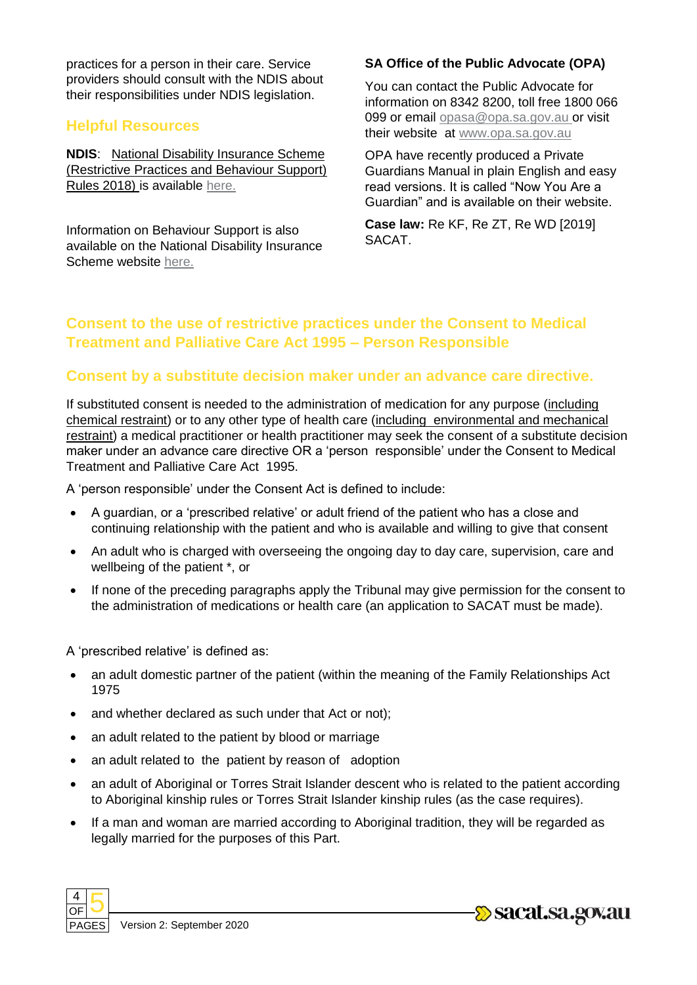practices for a person in their care. Service providers should consult with the NDIS about their responsibilities under NDIS legislation.

#### **Helpful Resources**

**NDIS**: National Disability Insurance Scheme (Restrictive Practices and Behaviour Support) Rules 2018) is available [here.](https://www.ndiscommission.gov.au/about/legislation-rules-policies)

Information on Behaviour Support is also available on the National Disability Insurance Scheme website [here.](https://www.ndiscommission.gov.au/providers/behaviour-support)

#### **SA Office of the Public Advocate (OPA)**

You can contact the Public Advocate for information on 8342 8200, toll free 1800 066 099 or email [opasa@opa.sa.gov.au o](mailto:opasa@opa.sa.gov.au)r visit their website at [www.opa.sa.gov.au](http://www.opa.sa.gov.au/)

OPA have recently produced a Private Guardians Manual in plain English and easy read versions. It is called "Now You Are a Guardian" and is available on their website.

**Case law:** Re KF, Re ZT, Re WD [2019] SACAT.

#### **Consent to the use of restrictive practices under the Consent to Medical Treatment and Palliative Care Act 1995 – Person Responsible**

#### **Consent by a substitute decision maker under an advance care directive.**

If substituted consent is needed to the administration of medication for any purpose (including chemical restraint) or to any other type of health care (including environmental and mechanical restraint) a medical practitioner or health practitioner may seek the consent of a substitute decision maker under an advance care directive OR a 'person responsible' under the Consent to Medical Treatment and Palliative Care Act 1995.

A 'person responsible' under the Consent Act is defined to include:

- A guardian, or a 'prescribed relative' or adult friend of the patient who has a close and continuing relationship with the patient and who is available and willing to give that consent
- An adult who is charged with overseeing the ongoing day to day care, supervision, care and wellbeing of the patient \*, or
- If none of the preceding paragraphs apply the Tribunal may give permission for the consent to the administration of medications or health care (an application to SACAT must be made).

A 'prescribed relative' is defined as:

- an adult domestic partner of the patient (within the meaning of the Family Relationships Act 1975
- and whether declared as such under that Act or not);
- an adult related to the patient by blood or marriage
- an adult related to the patient by reason of adoption
- an adult of Aboriginal or Torres Strait Islander descent who is related to the patient according to Aboriginal kinship rules or Torres Strait Islander kinship rules (as the case requires).
- If a man and woman are married according to Aboriginal tradition, they will be regarded as legally married for the purposes of this Part.